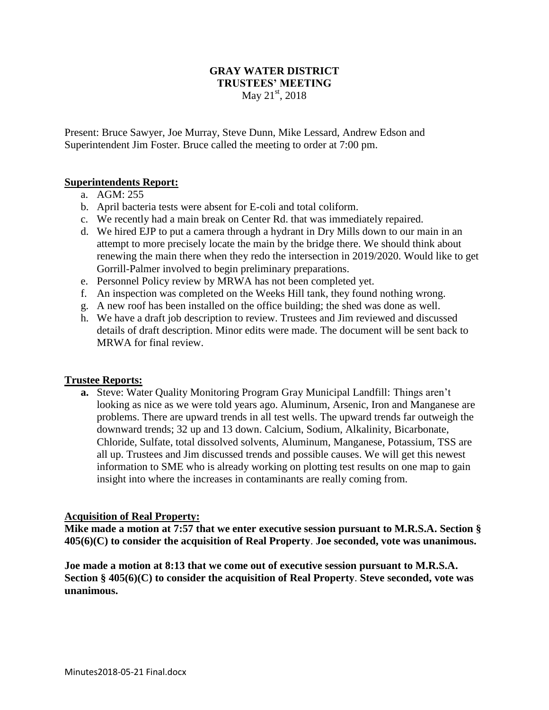## **GRAY WATER DISTRICT TRUSTEES' MEETING** May  $21^{st}$ , 2018

Present: Bruce Sawyer, Joe Murray, Steve Dunn, Mike Lessard, Andrew Edson and Superintendent Jim Foster. Bruce called the meeting to order at 7:00 pm.

## **Superintendents Report:**

- a. AGM: 255
- b. April bacteria tests were absent for E-coli and total coliform.
- c. We recently had a main break on Center Rd. that was immediately repaired.
- d. We hired EJP to put a camera through a hydrant in Dry Mills down to our main in an attempt to more precisely locate the main by the bridge there. We should think about renewing the main there when they redo the intersection in 2019/2020. Would like to get Gorrill-Palmer involved to begin preliminary preparations.
- e. Personnel Policy review by MRWA has not been completed yet.
- f. An inspection was completed on the Weeks Hill tank, they found nothing wrong.
- g. A new roof has been installed on the office building; the shed was done as well.
- h. We have a draft job description to review. Trustees and Jim reviewed and discussed details of draft description. Minor edits were made. The document will be sent back to MRWA for final review.

## **Trustee Reports:**

**a.** Steve: Water Quality Monitoring Program Gray Municipal Landfill: Things aren't looking as nice as we were told years ago. Aluminum, Arsenic, Iron and Manganese are problems. There are upward trends in all test wells. The upward trends far outweigh the downward trends; 32 up and 13 down. Calcium, Sodium, Alkalinity, Bicarbonate, Chloride, Sulfate, total dissolved solvents, Aluminum, Manganese, Potassium, TSS are all up. Trustees and Jim discussed trends and possible causes. We will get this newest information to SME who is already working on plotting test results on one map to gain insight into where the increases in contaminants are really coming from.

## **Acquisition of Real Property:**

**Mike made a motion at 7:57 that we enter executive session pursuant to M.R.S.A. Section § 405(6)(C) to consider the acquisition of Real Property**. **Joe seconded, vote was unanimous.**

**Joe made a motion at 8:13 that we come out of executive session pursuant to M.R.S.A. Section § 405(6)(C) to consider the acquisition of Real Property**. **Steve seconded, vote was unanimous.**